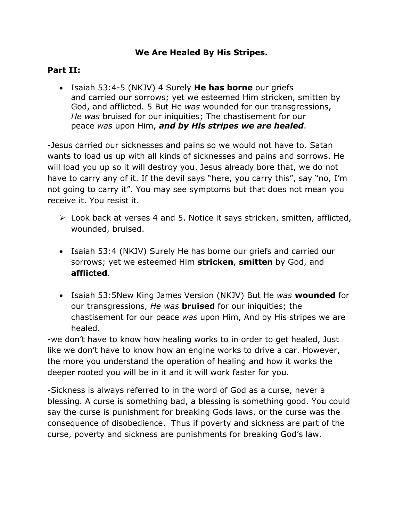## **We Are Healed By His Stripes.**

## **Part II:**

 Isaiah 53:4-5 (NKJV) 4 Surely **He has borne** our griefs and carried our sorrows; yet we esteemed Him stricken, smitten by God, and afflicted. 5 But He *was* wounded for our transgressions, *He was* bruised for our iniquities; The chastisement for our peace *was* upon Him, *and by His stripes we are healed*.

-Jesus carried our sicknesses and pains so we would not have to. Satan wants to load us up with all kinds of sicknesses and pains and sorrows. He will load you up so it will destroy you. Jesus already bore that, we do not have to carry any of it. If the devil says "here, you carry this", say "no, I'm not going to carry it". You may see symptoms but that does not mean you receive it. You resist it.

- Look back at verses 4 and 5. Notice it says stricken, smitten, afflicted, wounded, bruised.
- Isaiah 53:4 (NKJV) Surely He has borne our griefs and carried our sorrows; yet we esteemed Him **stricken**, **smitten** by God, and **afflicted**.
- Isaiah 53:5New King James Version (NKJV) But He *was* **wounded** for our transgressions, *He was* **bruised** for our iniquities; the chastisement for our peace *was* upon Him, And by His stripes we are healed.

-we don't have to know how healing works to in order to get healed, Just like we don't have to know how an engine works to drive a car. However, the more you understand the operation of healing and how it works the deeper rooted you will be in it and it will work faster for you.

-Sickness is always referred to in the word of God as a curse, never a blessing. A curse is something bad, a blessing is something good. You could say the curse is punishment for breaking Gods laws, or the curse was the consequence of disobedience. Thus if poverty and sickness are part of the curse, poverty and sickness are punishments for breaking God's law.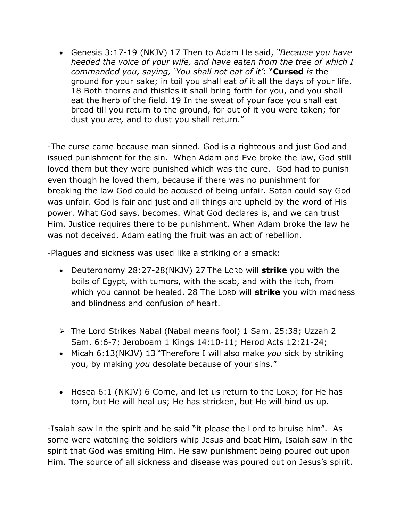Genesis 3:17-19 (NKJV) 17 Then to Adam He said, *"Because you have heeded the voice of your wife, and have eaten from the tree of which I commanded you, saying, 'You shall not eat of it'*: "**Cursed** *is* the ground for your sake; in toil you shall eat *of* it all the days of your life. 18 Both thorns and thistles it shall bring forth for you, and you shall eat the herb of the field. 19 In the sweat of your face you shall eat bread till you return to the ground, for out of it you were taken; for dust you *are,* and to dust you shall return."

-The curse came because man sinned. God is a righteous and just God and issued punishment for the sin. When Adam and Eve broke the law, God still loved them but they were punished which was the cure. God had to punish even though he loved them, because if there was no punishment for breaking the law God could be accused of being unfair. Satan could say God was unfair. God is fair and just and all things are upheld by the word of His power. What God says, becomes. What God declares is, and we can trust Him. Justice requires there to be punishment. When Adam broke the law he was not deceived. Adam eating the fruit was an act of rebellion.

-Plagues and sickness was used like a striking or a smack:

- Deuteronomy 28:27-28(NKJV) 27 The LORD will **strike** you with the boils of Egypt, with tumors, with the scab, and with the itch, from which you cannot be healed. 28 The LORD will **strike** you with madness and blindness and confusion of heart.
- The Lord Strikes Nabal (Nabal means fool) 1 Sam. 25:38; Uzzah 2 Sam. 6:6-7; Jeroboam 1 Kings 14:10-11; Herod Acts 12:21-24;
- Micah 6:13(NKJV) 13 "Therefore I will also make *you* sick by striking you, by making *you* desolate because of your sins."
- Hosea 6:1 (NKJV) 6 Come, and let us return to the LORD; for He has torn, but He will heal us; He has stricken, but He will bind us up.

-Isaiah saw in the spirit and he said "it please the Lord to bruise him". As some were watching the soldiers whip Jesus and beat Him, Isaiah saw in the spirit that God was smiting Him. He saw punishment being poured out upon Him. The source of all sickness and disease was poured out on Jesus's spirit.